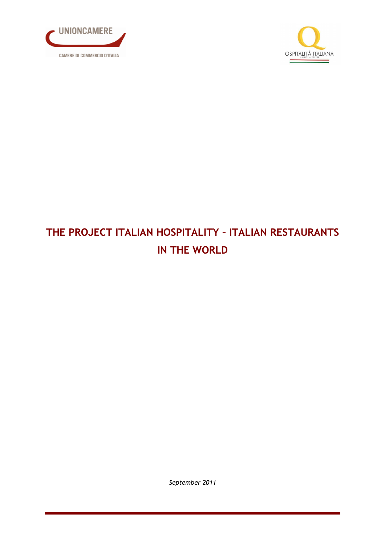



# THE PROJECT ITALIAN HOSPITALITY – ITALIAN RESTAURANTS IN THE WORLD

September 2011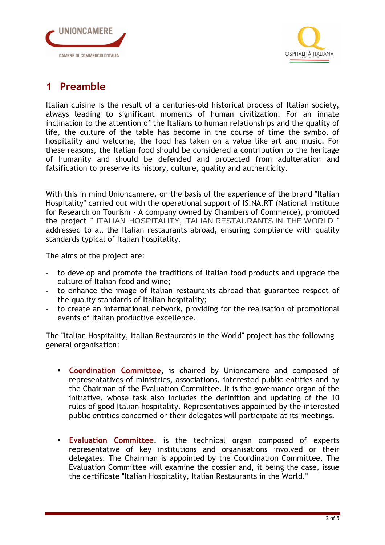



#### 1 Preamble

Italian cuisine is the result of a centuries-old historical process of Italian society, always leading to significant moments of human civilization. For an innate inclination to the attention of the Italians to human relationships and the quality of life, the culture of the table has become in the course of time the symbol of hospitality and welcome, the food has taken on a value like art and music. For these reasons, the Italian food should be considered a contribution to the heritage of humanity and should be defended and protected from adulteration and falsification to preserve its history, culture, quality and authenticity.

With this in mind Unioncamere, on the basis of the experience of the brand "Italian Hospitality" carried out with the operational support of IS.NA.RT (National Institute for Research on Tourism - A company owned by Chambers of Commerce), promoted the project " ITALIAN HOSPITALITY, ITALIAN RESTAURANTS IN THE WORLD " addressed to all the Italian restaurants abroad, ensuring compliance with quality standards typical of Italian hospitality.

The aims of the project are:

- to develop and promote the traditions of Italian food products and upgrade the culture of Italian food and wine;
- to enhance the image of Italian restaurants abroad that guarantee respect of the quality standards of Italian hospitality;
- to create an international network, providing for the realisation of promotional events of Italian productive excellence.

The "Italian Hospitality, Italian Restaurants in the World" project has the following general organisation:

- **Coordination Committee**, is chaired by Unioncamere and composed of representatives of ministries, associations, interested public entities and by the Chairman of the Evaluation Committee. It is the governance organ of the initiative, whose task also includes the definition and updating of the 10 rules of good Italian hospitality. Representatives appointed by the interested public entities concerned or their delegates will participate at its meetings.
- **Evaluation Committee,** is the technical organ composed of experts representative of key institutions and organisations involved or their delegates. The Chairman is appointed by the Coordination Committee. The Evaluation Committee will examine the dossier and, it being the case, issue the certificate "Italian Hospitality, Italian Restaurants in the World."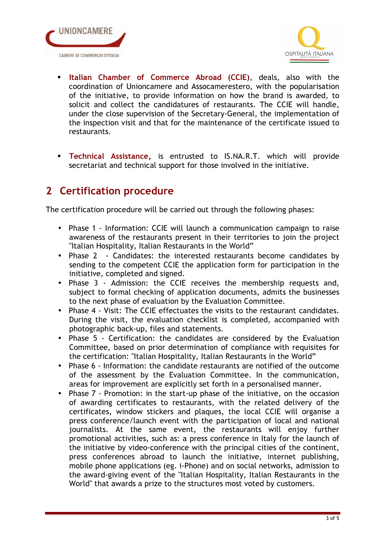



- Italian Chamber of Commerce Abroad (CCIE), deals, also with the coordination of Unioncamere and Assocamerestero, with the popularisation of the initiative, to provide information on how the brand is awarded, to solicit and collect the candidatures of restaurants. The CCIE will handle, under the close supervision of the Secretary-General, the implementation of the inspection visit and that for the maintenance of the certificate issued to restaurants.
- **Technical Assistance,** is entrusted to IS.NA.R.T. which will provide secretariat and technical support for those involved in the initiative.

### 2 Certification procedure

The certification procedure will be carried out through the following phases:

- Phase 1 Information: CCIE will launch a communication campaign to raise awareness of the restaurants present in their territories to join the project "Italian Hospitality, Italian Restaurants in the World"
- Phase 2 Candidates: the interested restaurants become candidates by sending to the competent CCIE the application form for participation in the initiative, completed and signed.
- Phase 3 Admission: the CCIE receives the membership requests and, subject to formal checking of application documents, admits the businesses to the next phase of evaluation by the Evaluation Committee.
- Phase 4 Visit: The CCIE effectuates the visits to the restaurant candidates. During the visit, the evaluation checklist is completed, accompanied with photographic back-up, files and statements.
- Phase 5 Certification: the candidates are considered by the Evaluation Committee, based on prior determination of compliance with requisites for the certification: "Italian Hospitality, Italian Restaurants in the World"
- Phase 6 Information: the candidate restaurants are notified of the outcome of the assessment by the Evaluation Committee. In the communication, areas for improvement are explicitly set forth in a personalised manner.
- Phase 7 Promotion: in the start-up phase of the initiative, on the occasion of awarding certificates to restaurants, with the related delivery of the certificates, window stickers and plaques, the local CCIE will organise a press conference/launch event with the participation of local and national journalists. At the same event, the restaurants will enjoy further promotional activities, such as: a press conference in Italy for the launch of the initiative by video-conference with the principal cities of the continent, press conferences abroad to launch the initiative, internet publishing, mobile phone applications (eg. i-Phone) and on social networks, admission to the award-giving event of the "Italian Hospitality, Italian Restaurants in the World" that awards a prize to the structures most voted by customers.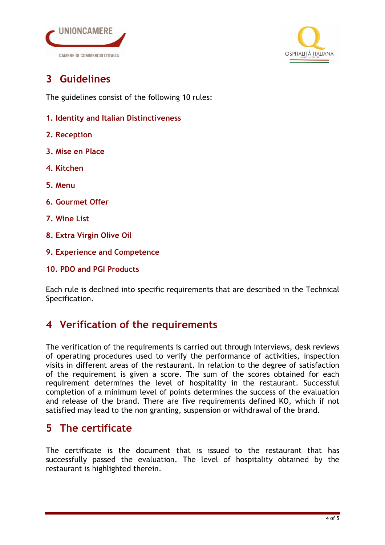



# 3 Guidelines

The guidelines consist of the following 10 rules:

- 1. Identity and Italian Distinctiveness
- 2. Reception
- 3. Mise en Place
- 4. Kitchen
- 5. Menu
- 6. Gourmet Offer
- 7. Wine List
- 8. Extra Virgin Olive Oil
- 9. Experience and Competence
- 10. PDO and PGI Products

Each rule is declined into specific requirements that are described in the Technical Specification.

#### 4 Verification of the requirements

The verification of the requirements is carried out through interviews, desk reviews of operating procedures used to verify the performance of activities, inspection visits in different areas of the restaurant. In relation to the degree of satisfaction of the requirement is given a score. The sum of the scores obtained for each requirement determines the level of hospitality in the restaurant. Successful completion of a minimum level of points determines the success of the evaluation and release of the brand. There are five requirements defined KO, which if not satisfied may lead to the non granting, suspension or withdrawal of the brand.

## 5 The certificate

The certificate is the document that is issued to the restaurant that has successfully passed the evaluation. The level of hospitality obtained by the restaurant is highlighted therein.